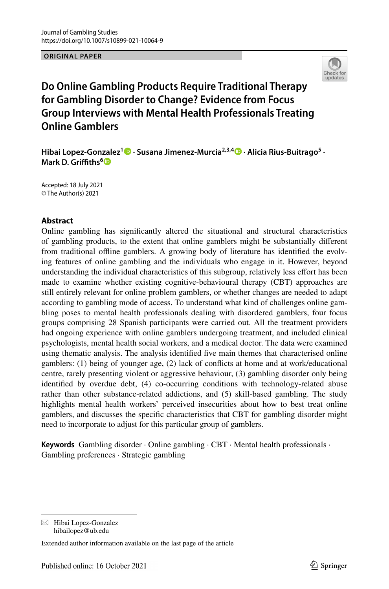**ORIGINAL PAPER**



# **Do Online Gambling Products Require Traditional Therapy for Gambling Disorder to Change? Evidence from Focus Group Interviews with Mental Health Professionals Treating Online Gamblers**

**Hibai Lopez‑Gonzalez[1](http://orcid.org/0000-0003-1249-2623) · Susana Jimenez‑Murcia2,3,4 · Alicia Rius‑Buitrago5 · Mark D. Grifths[6](http://orcid.org/0000-0001-8880-6524)**

Accepted: 18 July 2021 © The Author(s) 2021

### **Abstract**

Online gambling has signifcantly altered the situational and structural characteristics of gambling products, to the extent that online gamblers might be substantially diferent from traditional ofine gamblers. A growing body of literature has identifed the evolving features of online gambling and the individuals who engage in it. However, beyond understanding the individual characteristics of this subgroup, relatively less efort has been made to examine whether existing cognitive-behavioural therapy (CBT) approaches are still entirely relevant for online problem gamblers, or whether changes are needed to adapt according to gambling mode of access. To understand what kind of challenges online gambling poses to mental health professionals dealing with disordered gamblers, four focus groups comprising 28 Spanish participants were carried out. All the treatment providers had ongoing experience with online gamblers undergoing treatment, and included clinical psychologists, mental health social workers, and a medical doctor. The data were examined using thematic analysis. The analysis identifed fve main themes that characterised online gamblers: (1) being of younger age, (2) lack of conficts at home and at work/educational centre, rarely presenting violent or aggressive behaviour, (3) gambling disorder only being identifed by overdue debt, (4) co-occurring conditions with technology-related abuse rather than other substance-related addictions, and (5) skill-based gambling. The study highlights mental health workers' perceived insecurities about how to best treat online gamblers, and discusses the specifc characteristics that CBT for gambling disorder might need to incorporate to adjust for this particular group of gamblers.

**Keywords** Gambling disorder · Online gambling · CBT · Mental health professionals · Gambling preferences · Strategic gambling

 $\boxtimes$  Hibai Lopez-Gonzalez hibailopez@ub.edu

Extended author information available on the last page of the article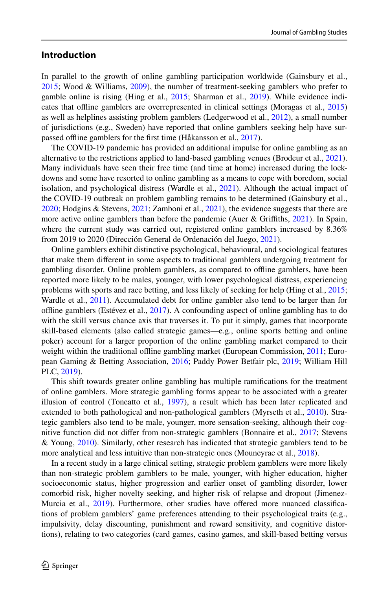### **Introduction**

In parallel to the growth of online gambling participation worldwide (Gainsbury et al., [2015;](#page-13-0) Wood & Williams, [2009](#page-15-0)), the number of treatment-seeking gamblers who prefer to gamble online is rising (Hing et al., [2015](#page-13-1); Sharman et al., [2019](#page-15-1)). While evidence indicates that ofine gamblers are overrepresented in clinical settings (Moragas et al., [2015](#page-14-0)) as well as helplines assisting problem gamblers (Ledgerwood et al., [2012\)](#page-14-1), a small number of jurisdictions (e.g., Sweden) have reported that online gamblers seeking help have sur-passed offline gamblers for the first time (Håkansson et al., [2017](#page-13-2)).

The COVID-19 pandemic has provided an additional impulse for online gambling as an alternative to the restrictions applied to land-based gambling venues (Brodeur et al., [2021](#page-12-0)). Many individuals have seen their free time (and time at home) increased during the lockdowns and some have resorted to online gambling as a means to cope with boredom, social isolation, and psychological distress (Wardle et al., [2021\)](#page-15-2). Although the actual impact of the COVID-19 outbreak on problem gambling remains to be determined (Gainsbury et al., [2020;](#page-13-3) Hodgins & Stevens, [2021;](#page-13-4) Zamboni et al., [2021](#page-15-3)), the evidence suggests that there are more active online gamblers than before the pandemic (Auer & Grifths, [2021\)](#page-12-1). In Spain, where the current study was carried out, registered online gamblers increased by 8.36% from 2019 to 2020 (Dirección General de Ordenación del Juego, [2021](#page-13-5)).

Online gamblers exhibit distinctive psychological, behavioural, and sociological features that make them diferent in some aspects to traditional gamblers undergoing treatment for gambling disorder. Online problem gamblers, as compared to ofine gamblers, have been reported more likely to be males, younger, with lower psychological distress, experiencing problems with sports and race betting, and less likely of seeking for help (Hing et al., [2015;](#page-13-1) Wardle et al., [2011\)](#page-15-2). Accumulated debt for online gambler also tend to be larger than for ofine gamblers (Estévez et al., [2017](#page-13-6)). A confounding aspect of online gambling has to do with the skill versus chance axis that traverses it. To put it simply, games that incorporate skill-based elements (also called strategic games—e.g., online sports betting and online poker) account for a larger proportion of the online gambling market compared to their weight within the traditional offline gambling market (European Commission, [2011;](#page-13-7) European Gaming & Betting Association, [2016;](#page-13-8) Paddy Power Betfair plc, [2019;](#page-14-2) William Hill PLC, [2019\)](#page-15-4).

This shift towards greater online gambling has multiple ramifcations for the treatment of online gamblers. More strategic gambling forms appear to be associated with a greater illusion of control (Toneatto et al., [1997](#page-15-5)), a result which has been later replicated and extended to both pathological and non-pathological gamblers (Myrseth et al., [2010\)](#page-14-3). Strategic gamblers also tend to be male, younger, more sensation-seeking, although their cognitive function did not difer from non-strategic gamblers (Bonnaire et al., [2017;](#page-12-2) Stevens & Young, [2010](#page-15-6)). Similarly, other research has indicated that strategic gamblers tend to be more analytical and less intuitive than non-strategic ones (Mouneyrac et al., [2018](#page-14-4)).

In a recent study in a large clinical setting, strategic problem gamblers were more likely than non-strategic problem gamblers to be male, younger, with higher education, higher socioeconomic status, higher progression and earlier onset of gambling disorder, lower comorbid risk, higher novelty seeking, and higher risk of relapse and dropout (Jimenez-Murcia et al., [2019](#page-14-5)). Furthermore, other studies have offered more nuanced classifications of problem gamblers' game preferences attending to their psychological traits (e.g., impulsivity, delay discounting, punishment and reward sensitivity, and cognitive distortions), relating to two categories (card games, casino games, and skill-based betting versus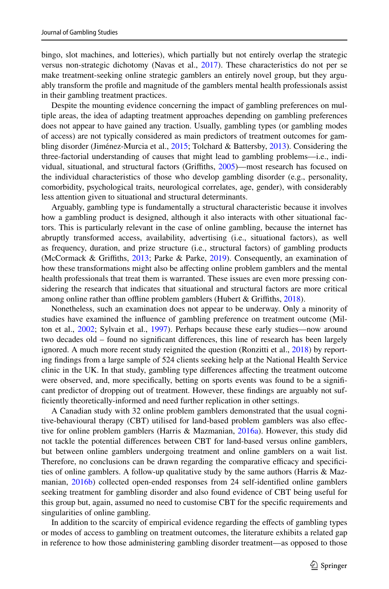bingo, slot machines, and lotteries), which partially but not entirely overlap the strategic versus non-strategic dichotomy (Navas et al., [2017](#page-14-6)). These characteristics do not per se make treatment-seeking online strategic gamblers an entirely novel group, but they arguably transform the profle and magnitude of the gamblers mental health professionals assist in their gambling treatment practices.

Despite the mounting evidence concerning the impact of gambling preferences on multiple areas, the idea of adapting treatment approaches depending on gambling preferences does not appear to have gained any traction. Usually, gambling types (or gambling modes of access) are not typically considered as main predictors of treatment outcomes for gambling disorder (Jiménez-Murcia et al., [2015](#page-14-7); Tolchard & Battersby, [2013\)](#page-15-7). Considering the three-factorial understanding of causes that might lead to gambling problems—i.e., individual, situational, and structural factors (Grifths, [2005\)](#page-13-9)—most research has focused on the individual characteristics of those who develop gambling disorder (e.g., personality, comorbidity, psychological traits, neurological correlates, age, gender), with considerably less attention given to situational and structural determinants.

Arguably, gambling type is fundamentally a structural characteristic because it involves how a gambling product is designed, although it also interacts with other situational factors. This is particularly relevant in the case of online gambling, because the internet has abruptly transformed access, availability, advertising (i.e., situational factors), as well as frequency, duration, and prize structure (i.e., structural factors) of gambling products (McCormack & Grifths, [2013](#page-14-8); Parke & Parke, [2019](#page-14-9)). Consequently, an examination of how these transformations might also be afecting online problem gamblers and the mental health professionals that treat them is warranted. These issues are even more pressing considering the research that indicates that situational and structural factors are more critical among online rather than offline problem gamblers (Hubert & Griffiths, [2018\)](#page-13-10).

Nonetheless, such an examination does not appear to be underway. Only a minority of studies have examined the infuence of gambling preference on treatment outcome (Mil-ton et al., [2002;](#page-14-10) Sylvain et al., [1997](#page-15-8)). Perhaps because these early studies—now around two decades old – found no signifcant diferences, this line of research has been largely ignored. A much more recent study reignited the question (Ronzitti et al., [2018\)](#page-15-9) by reporting fndings from a large sample of 524 clients seeking help at the National Health Service clinic in the UK. In that study, gambling type diferences afecting the treatment outcome were observed, and, more specifcally, betting on sports events was found to be a signifcant predictor of dropping out of treatment. However, these fndings are arguably not suffciently theoretically-informed and need further replication in other settings.

A Canadian study with 32 online problem gamblers demonstrated that the usual cognitive-behavioural therapy (CBT) utilised for land-based problem gamblers was also efective for online problem gamblers (Harris & Mazmanian, [2016a\)](#page-13-11). However, this study did not tackle the potential diferences between CBT for land-based versus online gamblers, but between online gamblers undergoing treatment and online gamblers on a wait list. Therefore, no conclusions can be drawn regarding the comparative efficacy and specificities of online gamblers. A follow-up qualitative study by the same authors (Harris & Mazmanian, [2016b\)](#page-13-12) collected open-ended responses from 24 self-identifed online gamblers seeking treatment for gambling disorder and also found evidence of CBT being useful for this group but, again, assumed no need to customise CBT for the specifc requirements and singularities of online gambling.

In addition to the scarcity of empirical evidence regarding the efects of gambling types or modes of access to gambling on treatment outcomes, the literature exhibits a related gap in reference to how those administering gambling disorder treatment—as opposed to those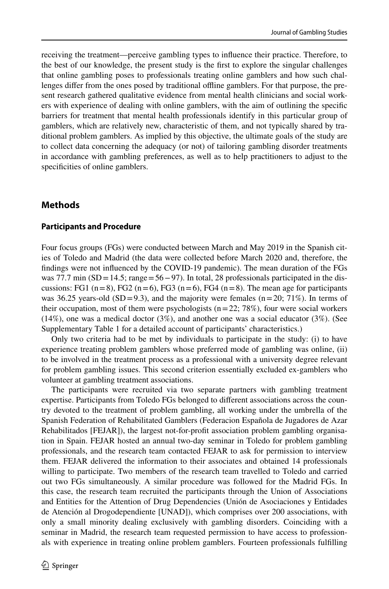receiving the treatment—perceive gambling types to infuence their practice. Therefore, to the best of our knowledge, the present study is the frst to explore the singular challenges that online gambling poses to professionals treating online gamblers and how such challenges difer from the ones posed by traditional ofine gamblers. For that purpose, the present research gathered qualitative evidence from mental health clinicians and social workers with experience of dealing with online gamblers, with the aim of outlining the specifc barriers for treatment that mental health professionals identify in this particular group of gamblers, which are relatively new, characteristic of them, and not typically shared by traditional problem gamblers. As implied by this objective, the ultimate goals of the study are to collect data concerning the adequacy (or not) of tailoring gambling disorder treatments in accordance with gambling preferences, as well as to help practitioners to adjust to the specificities of online gamblers.

## **Methods**

#### **Participants and Procedure**

Four focus groups (FGs) were conducted between March and May 2019 in the Spanish cities of Toledo and Madrid (the data were collected before March 2020 and, therefore, the fndings were not infuenced by the COVID-19 pandemic). The mean duration of the FGs was 77.7 min (SD=14.5; range=56−97). In total, 28 professionals participated in the discussions: FG1 ( $n=8$ ), FG2 ( $n=6$ ), FG3 ( $n=6$ ), FG4 ( $n=8$ ). The mean age for participants was 36.25 years-old (SD=9.3), and the majority were females ( $n=20$ ; 71%). In terms of their occupation, most of them were psychologists  $(n=22; 78%)$ , four were social workers  $(14%)$ , one was a medical doctor  $(3%)$ , and another one was a social educator  $(3%)$ . (See Supplementary Table 1 for a detailed account of participants' characteristics.)

Only two criteria had to be met by individuals to participate in the study: (i) to have experience treating problem gamblers whose preferred mode of gambling was online, (ii) to be involved in the treatment process as a professional with a university degree relevant for problem gambling issues. This second criterion essentially excluded ex-gamblers who volunteer at gambling treatment associations.

The participants were recruited via two separate partners with gambling treatment expertise. Participants from Toledo FGs belonged to diferent associations across the country devoted to the treatment of problem gambling, all working under the umbrella of the Spanish Federation of Rehabilitated Gamblers (Federacion Española de Jugadores de Azar Rehabilitados [FEJAR]), the largest not-for-proft association problem gambling organisation in Spain. FEJAR hosted an annual two-day seminar in Toledo for problem gambling professionals, and the research team contacted FEJAR to ask for permission to interview them. FEJAR delivered the information to their associates and obtained 14 professionals willing to participate. Two members of the research team travelled to Toledo and carried out two FGs simultaneously. A similar procedure was followed for the Madrid FGs. In this case, the research team recruited the participants through the Union of Associations and Entities for the Attention of Drug Dependencies (Unión de Asociaciones y Entidades de Atención al Drogodependiente [UNAD]), which comprises over 200 associations, with only a small minority dealing exclusively with gambling disorders. Coinciding with a seminar in Madrid, the research team requested permission to have access to professionals with experience in treating online problem gamblers. Fourteen professionals fulflling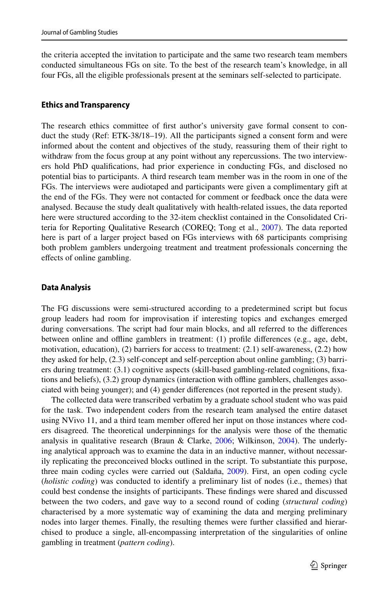the criteria accepted the invitation to participate and the same two research team members conducted simultaneous FGs on site. To the best of the research team's knowledge, in all four FGs, all the eligible professionals present at the seminars self-selected to participate.

#### **Ethics and Transparency**

The research ethics committee of frst author's university gave formal consent to conduct the study (Ref: ETK-38/18–19). All the participants signed a consent form and were informed about the content and objectives of the study, reassuring them of their right to withdraw from the focus group at any point without any repercussions. The two interviewers hold PhD qualifcations, had prior experience in conducting FGs, and disclosed no potential bias to participants. A third research team member was in the room in one of the FGs. The interviews were audiotaped and participants were given a complimentary gift at the end of the FGs. They were not contacted for comment or feedback once the data were analysed. Because the study dealt qualitatively with health-related issues, the data reported here were structured according to the 32-item checklist contained in the Consolidated Criteria for Reporting Qualitative Research (COREQ; Tong et al., [2007](#page-15-10)). The data reported here is part of a larger project based on FGs interviews with 68 participants comprising both problem gamblers undergoing treatment and treatment professionals concerning the efects of online gambling.

#### **Data Analysis**

The FG discussions were semi-structured according to a predetermined script but focus group leaders had room for improvisation if interesting topics and exchanges emerged during conversations. The script had four main blocks, and all referred to the diferences between online and ofine gamblers in treatment: (1) profle diferences (e.g., age, debt, motivation, education), (2) barriers for access to treatment: (2.1) self-awareness, (2.2) how they asked for help, (2.3) self-concept and self-perception about online gambling; (3) barriers during treatment: (3.1) cognitive aspects (skill-based gambling-related cognitions, fxations and beliefs), (3.2) group dynamics (interaction with ofine gamblers, challenges associated with being younger); and (4) gender diferences (not reported in the present study).

The collected data were transcribed verbatim by a graduate school student who was paid for the task. Two independent coders from the research team analysed the entire dataset using NVivo 11, and a third team member ofered her input on those instances where coders disagreed. The theoretical underpinnings for the analysis were those of the thematic analysis in qualitative research (Braun & Clarke, [2006](#page-12-3); Wilkinson, [2004](#page-15-11)). The underlying analytical approach was to examine the data in an inductive manner, without necessarily replicating the preconceived blocks outlined in the script. To substantiate this purpose, three main coding cycles were carried out (Saldaña, [2009\)](#page-15-12). First, an open coding cycle (*holistic coding*) was conducted to identify a preliminary list of nodes (i.e., themes) that could best condense the insights of participants. These fndings were shared and discussed between the two coders, and gave way to a second round of coding (*structural coding*) characterised by a more systematic way of examining the data and merging preliminary nodes into larger themes. Finally, the resulting themes were further classifed and hierarchised to produce a single, all-encompassing interpretation of the singularities of online gambling in treatment (*pattern coding*).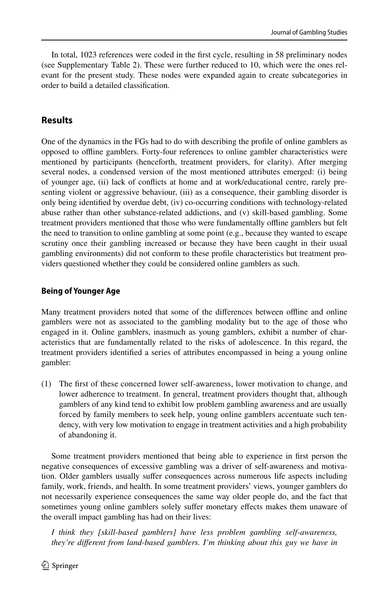In total, 1023 references were coded in the frst cycle, resulting in 58 preliminary nodes (see Supplementary Table 2). These were further reduced to 10, which were the ones relevant for the present study. These nodes were expanded again to create subcategories in order to build a detailed classifcation.

# **Results**

One of the dynamics in the FGs had to do with describing the profle of online gamblers as opposed to ofine gamblers. Forty-four references to online gambler characteristics were mentioned by participants (henceforth, treatment providers, for clarity). After merging several nodes, a condensed version of the most mentioned attributes emerged: (i) being of younger age, (ii) lack of conficts at home and at work/educational centre, rarely presenting violent or aggressive behaviour, (iii) as a consequence, their gambling disorder is only being identifed by overdue debt, (iv) co-occurring conditions with technology-related abuse rather than other substance-related addictions, and (v) skill-based gambling. Some treatment providers mentioned that those who were fundamentally ofine gamblers but felt the need to transition to online gambling at some point (e.g., because they wanted to escape scrutiny once their gambling increased or because they have been caught in their usual gambling environments) did not conform to these profle characteristics but treatment providers questioned whether they could be considered online gamblers as such.

# **Being of Younger Age**

Many treatment providers noted that some of the diferences between ofine and online gamblers were not as associated to the gambling modality but to the age of those who engaged in it. Online gamblers, inasmuch as young gamblers, exhibit a number of characteristics that are fundamentally related to the risks of adolescence. In this regard, the treatment providers identifed a series of attributes encompassed in being a young online gambler:

(1) The frst of these concerned lower self-awareness, lower motivation to change, and lower adherence to treatment. In general, treatment providers thought that, although gamblers of any kind tend to exhibit low problem gambling awareness and are usually forced by family members to seek help, young online gamblers accentuate such tendency, with very low motivation to engage in treatment activities and a high probability of abandoning it.

Some treatment providers mentioned that being able to experience in frst person the negative consequences of excessive gambling was a driver of self-awareness and motivation. Older gamblers usually sufer consequences across numerous life aspects including family, work, friends, and health. In some treatment providers' views, younger gamblers do not necessarily experience consequences the same way older people do, and the fact that sometimes young online gamblers solely sufer monetary efects makes them unaware of the overall impact gambling has had on their lives:

*I think they [skill-based gamblers] have less problem gambling self-awareness, they're diferent from land-based gamblers. I'm thinking about this guy we have in*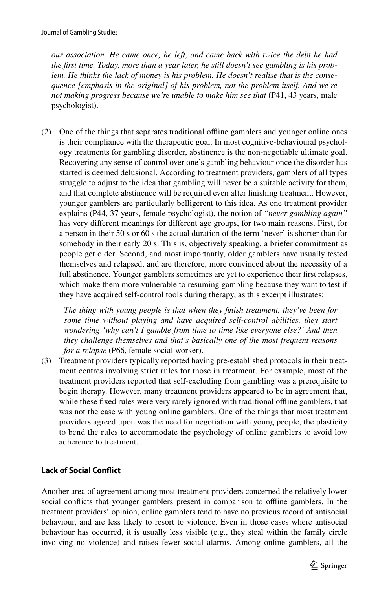*our association. He came once, he left, and came back with twice the debt he had the frst time. Today, more than a year later, he still doesn't see gambling is his problem. He thinks the lack of money is his problem. He doesn't realise that is the consequence [emphasis in the original] of his problem, not the problem itself. And we're not making progress because we're unable to make him see that* (P41, 43 years, male psychologist).

(2) One of the things that separates traditional ofine gamblers and younger online ones is their compliance with the therapeutic goal. In most cognitive-behavioural psychology treatments for gambling disorder, abstinence is the non-negotiable ultimate goal. Recovering any sense of control over one's gambling behaviour once the disorder has started is deemed delusional. According to treatment providers, gamblers of all types struggle to adjust to the idea that gambling will never be a suitable activity for them, and that complete abstinence will be required even after fnishing treatment. However, younger gamblers are particularly belligerent to this idea. As one treatment provider explains (P44, 37 years, female psychologist), the notion of *"never gambling again"* has very diferent meanings for diferent age groups, for two main reasons. First, for a person in their 50 s or 60 s the actual duration of the term 'never' is shorter than for somebody in their early 20 s. This is, objectively speaking, a briefer commitment as people get older. Second, and most importantly, older gamblers have usually tested themselves and relapsed, and are therefore, more convinced about the necessity of a full abstinence. Younger gamblers sometimes are yet to experience their first relapses, which make them more vulnerable to resuming gambling because they want to test if they have acquired self-control tools during therapy, as this excerpt illustrates:

*The thing with young people is that when they fnish treatment, they've been for some time without playing and have acquired self-control abilities, they start wondering 'why can't I gamble from time to time like everyone else?' And then they challenge themselves and that's basically one of the most frequent reasons for a relapse* (P66, female social worker).

(3) Treatment providers typically reported having pre-established protocols in their treatment centres involving strict rules for those in treatment. For example, most of the treatment providers reported that self-excluding from gambling was a prerequisite to begin therapy. However, many treatment providers appeared to be in agreement that, while these fixed rules were very rarely ignored with traditional offline gamblers, that was not the case with young online gamblers. One of the things that most treatment providers agreed upon was the need for negotiation with young people, the plasticity to bend the rules to accommodate the psychology of online gamblers to avoid low adherence to treatment.

#### **Lack of Social Confict**

Another area of agreement among most treatment providers concerned the relatively lower social conflicts that younger gamblers present in comparison to offline gamblers. In the treatment providers' opinion, online gamblers tend to have no previous record of antisocial behaviour, and are less likely to resort to violence. Even in those cases where antisocial behaviour has occurred, it is usually less visible (e.g., they steal within the family circle involving no violence) and raises fewer social alarms. Among online gamblers, all the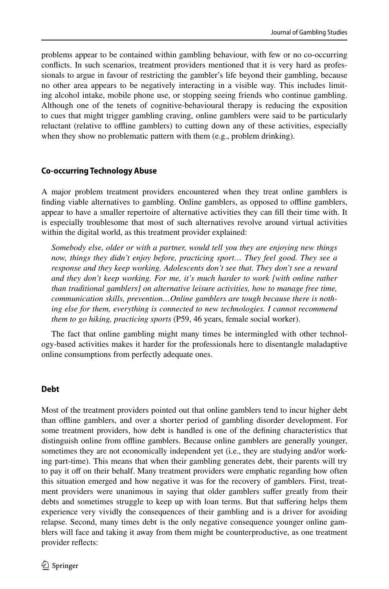problems appear to be contained within gambling behaviour, with few or no co-occurring conficts. In such scenarios, treatment providers mentioned that it is very hard as professionals to argue in favour of restricting the gambler's life beyond their gambling, because no other area appears to be negatively interacting in a visible way. This includes limiting alcohol intake, mobile phone use, or stopping seeing friends who continue gambling. Although one of the tenets of cognitive-behavioural therapy is reducing the exposition to cues that might trigger gambling craving, online gamblers were said to be particularly reluctant (relative to ofine gamblers) to cutting down any of these activities, especially when they show no problematic pattern with them (e.g., problem drinking).

### **Co‑occurring Technology Abuse**

A major problem treatment providers encountered when they treat online gamblers is fnding viable alternatives to gambling. Online gamblers, as opposed to ofine gamblers, appear to have a smaller repertoire of alternative activities they can fll their time with. It is especially troublesome that most of such alternatives revolve around virtual activities within the digital world, as this treatment provider explained:

*Somebody else, older or with a partner, would tell you they are enjoying new things now, things they didn't enjoy before, practicing sport... They feel good. They see a response and they keep working. Adolescents don't see that. They don't see a reward and they don't keep working. For me, it's much harder to work [with online rather than traditional gamblers] on alternative leisure activities, how to manage free time, communication skills, prevention…Online gamblers are tough because there is nothing else for them, everything is connected to new technologies. I cannot recommend them to go hiking, practicing sports* (P59, 46 years, female social worker).

The fact that online gambling might many times be intermingled with other technology-based activities makes it harder for the professionals here to disentangle maladaptive online consumptions from perfectly adequate ones.

#### **Debt**

Most of the treatment providers pointed out that online gamblers tend to incur higher debt than ofine gamblers, and over a shorter period of gambling disorder development. For some treatment providers, how debt is handled is one of the defning characteristics that distinguish online from ofine gamblers. Because online gamblers are generally younger, sometimes they are not economically independent yet (i.e., they are studying and/or working part-time). This means that when their gambling generates debt, their parents will try to pay it off on their behalf. Many treatment providers were emphatic regarding how often this situation emerged and how negative it was for the recovery of gamblers. First, treatment providers were unanimous in saying that older gamblers sufer greatly from their debts and sometimes struggle to keep up with loan terms. But that sufering helps them experience very vividly the consequences of their gambling and is a driver for avoiding relapse. Second, many times debt is the only negative consequence younger online gamblers will face and taking it away from them might be counterproductive, as one treatment provider refects: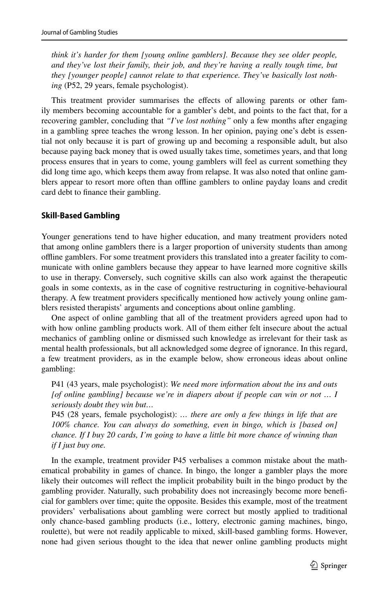*think it's harder for them [young online gamblers]. Because they see older people, and they've lost their family, their job, and they're having a really tough time, but they [younger people] cannot relate to that experience. They've basically lost nothing* (P52, 29 years, female psychologist).

This treatment provider summarises the efects of allowing parents or other family members becoming accountable for a gambler's debt, and points to the fact that, for a recovering gambler, concluding that *"I've lost nothing"* only a few months after engaging in a gambling spree teaches the wrong lesson. In her opinion, paying one's debt is essential not only because it is part of growing up and becoming a responsible adult, but also because paying back money that is owed usually takes time, sometimes years, and that long process ensures that in years to come, young gamblers will feel as current something they did long time ago, which keeps them away from relapse. It was also noted that online gamblers appear to resort more often than ofine gamblers to online payday loans and credit card debt to fnance their gambling.

#### **Skill‑Based Gambling**

Younger generations tend to have higher education, and many treatment providers noted that among online gamblers there is a larger proportion of university students than among ofine gamblers. For some treatment providers this translated into a greater facility to communicate with online gamblers because they appear to have learned more cognitive skills to use in therapy. Conversely, such cognitive skills can also work against the therapeutic goals in some contexts, as in the case of cognitive restructuring in cognitive-behavioural therapy. A few treatment providers specifcally mentioned how actively young online gamblers resisted therapists' arguments and conceptions about online gambling.

One aspect of online gambling that all of the treatment providers agreed upon had to with how online gambling products work. All of them either felt insecure about the actual mechanics of gambling online or dismissed such knowledge as irrelevant for their task as mental health professionals, but all acknowledged some degree of ignorance. In this regard, a few treatment providers, as in the example below, show erroneous ideas about online gambling:

P41 (43 years, male psychologist): *We need more information about the ins and outs [of online gambling] because we're in diapers about if people can win or not … I seriously doubt they win but…*

P45 (28 years, female psychologist): *… there are only a few things in life that are 100% chance. You can always do something, even in bingo, which is [based on] chance. If I buy 20 cards, I'm going to have a little bit more chance of winning than if I just buy one.*

In the example, treatment provider P45 verbalises a common mistake about the mathematical probability in games of chance. In bingo, the longer a gambler plays the more likely their outcomes will refect the implicit probability built in the bingo product by the gambling provider. Naturally, such probability does not increasingly become more benefcial for gamblers over time; quite the opposite. Besides this example, most of the treatment providers' verbalisations about gambling were correct but mostly applied to traditional only chance-based gambling products (i.e., lottery, electronic gaming machines, bingo, roulette), but were not readily applicable to mixed, skill-based gambling forms. However, none had given serious thought to the idea that newer online gambling products might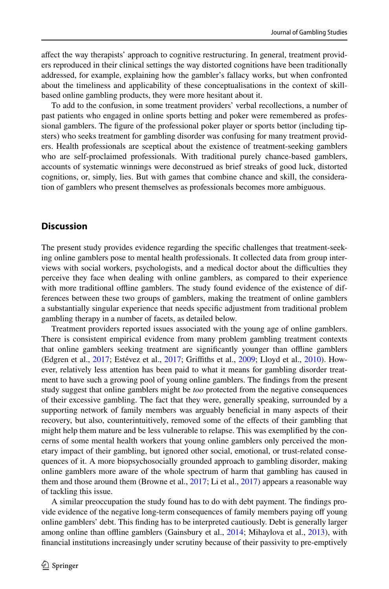afect the way therapists' approach to cognitive restructuring. In general, treatment providers reproduced in their clinical settings the way distorted cognitions have been traditionally addressed, for example, explaining how the gambler's fallacy works, but when confronted about the timeliness and applicability of these conceptualisations in the context of skillbased online gambling products, they were more hesitant about it.

To add to the confusion, in some treatment providers' verbal recollections, a number of past patients who engaged in online sports betting and poker were remembered as professional gamblers. The fgure of the professional poker player or sports bettor (including tipsters) who seeks treatment for gambling disorder was confusing for many treatment providers. Health professionals are sceptical about the existence of treatment-seeking gamblers who are self-proclaimed professionals. With traditional purely chance-based gamblers, accounts of systematic winnings were deconstrued as brief streaks of good luck, distorted cognitions, or, simply, lies. But with games that combine chance and skill, the consideration of gamblers who present themselves as professionals becomes more ambiguous.

### **Discussion**

The present study provides evidence regarding the specifc challenges that treatment-seeking online gamblers pose to mental health professionals. It collected data from group interviews with social workers, psychologists, and a medical doctor about the difculties they perceive they face when dealing with online gamblers, as compared to their experience with more traditional offline gamblers. The study found evidence of the existence of differences between these two groups of gamblers, making the treatment of online gamblers a substantially singular experience that needs specifc adjustment from traditional problem gambling therapy in a number of facets, as detailed below.

Treatment providers reported issues associated with the young age of online gamblers. There is consistent empirical evidence from many problem gambling treatment contexts that online gamblers seeking treatment are significantly younger than offline gamblers (Edgren et al., [2017;](#page-13-13) Estévez et al., [2017;](#page-13-6) Grifths et al., [2009;](#page-13-14) Lloyd et al., [2010\)](#page-14-11). However, relatively less attention has been paid to what it means for gambling disorder treatment to have such a growing pool of young online gamblers. The fndings from the present study suggest that online gamblers might be *too* protected from the negative consequences of their excessive gambling. The fact that they were, generally speaking, surrounded by a supporting network of family members was arguably benefcial in many aspects of their recovery, but also, counterintuitively, removed some of the efects of their gambling that might help them mature and be less vulnerable to relapse. This was exemplifed by the concerns of some mental health workers that young online gamblers only perceived the monetary impact of their gambling, but ignored other social, emotional, or trust-related consequences of it. A more biopsychosocially grounded approach to gambling disorder, making online gamblers more aware of the whole spectrum of harm that gambling has caused in them and those around them (Browne et al., [2017;](#page-13-15) Li et al., [2017](#page-14-12)) appears a reasonable way of tackling this issue.

A similar preoccupation the study found has to do with debt payment. The fndings provide evidence of the negative long-term consequences of family members paying of young online gamblers' debt. This fnding has to be interpreted cautiously. Debt is generally larger among online than offline gamblers (Gainsbury et al., [2014](#page-13-16); Mihaylova et al., [2013](#page-14-13)), with fnancial institutions increasingly under scrutiny because of their passivity to pre-emptively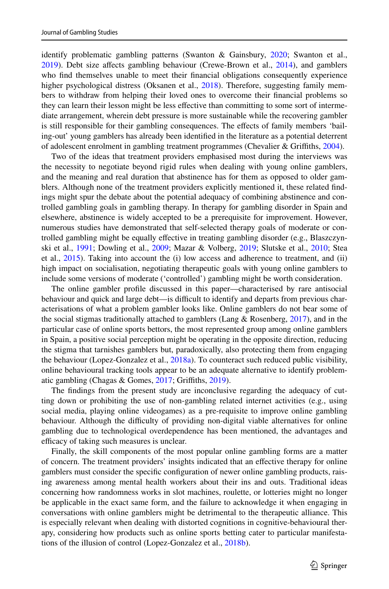identify problematic gambling patterns (Swanton & Gainsbury, [2020;](#page-15-13) Swanton et al., [2019\)](#page-15-14). Debt size afects gambling behaviour (Crewe-Brown et al., [2014\)](#page-13-17), and gamblers who fnd themselves unable to meet their fnancial obligations consequently experience higher psychological distress (Oksanen et al., [2018\)](#page-14-14). Therefore, suggesting family members to withdraw from helping their loved ones to overcome their fnancial problems so they can learn their lesson might be less efective than committing to some sort of intermediate arrangement, wherein debt pressure is more sustainable while the recovering gambler is still responsible for their gambling consequences. The efects of family members 'bailing-out' young gamblers has already been identifed in the literature as a potential deterrent of adolescent enrolment in gambling treatment programmes (Chevalier & Grifths, [2004\)](#page-13-18).

Two of the ideas that treatment providers emphasised most during the interviews was the necessity to negotiate beyond rigid rules when dealing with young online gamblers, and the meaning and real duration that abstinence has for them as opposed to older gamblers. Although none of the treatment providers explicitly mentioned it, these related fndings might spur the debate about the potential adequacy of combining abstinence and controlled gambling goals in gambling therapy. In therapy for gambling disorder in Spain and elsewhere, abstinence is widely accepted to be a prerequisite for improvement. However, numerous studies have demonstrated that self-selected therapy goals of moderate or controlled gambling might be equally efective in treating gambling disorder (e.g., Blaszczynski et al., [1991;](#page-12-4) Dowling et al., [2009;](#page-13-19) Mazar & Volberg, [2019;](#page-14-15) Slutske et al., [2010](#page-15-15); Stea et al., [2015\)](#page-15-16). Taking into account the (i) low access and adherence to treatment, and (ii) high impact on socialisation, negotiating therapeutic goals with young online gamblers to include some versions of moderate ('controlled') gambling might be worth consideration.

The online gambler profle discussed in this paper—characterised by rare antisocial behaviour and quick and large debt—is difficult to identify and departs from previous characterisations of what a problem gambler looks like. Online gamblers do not bear some of the social stigmas traditionally attached to gamblers (Lang  $\&$  Rosenberg, [2017\)](#page-14-16), and in the particular case of online sports bettors, the most represented group among online gamblers in Spain, a positive social perception might be operating in the opposite direction, reducing the stigma that tarnishes gamblers but, paradoxically, also protecting them from engaging the behaviour (Lopez-Gonzalez et al., [2018a\)](#page-14-17). To counteract such reduced public visibility, online behavioural tracking tools appear to be an adequate alternative to identify problematic gambling (Chagas & Gomes, [2017;](#page-13-20) Grifths, [2019\)](#page-13-21).

The fndings from the present study are inconclusive regarding the adequacy of cutting down or prohibiting the use of non-gambling related internet activities (e.g., using social media, playing online videogames) as a pre-requisite to improve online gambling behaviour. Although the difculty of providing non-digital viable alternatives for online gambling due to technological overdependence has been mentioned, the advantages and efficacy of taking such measures is unclear.

Finally, the skill components of the most popular online gambling forms are a matter of concern. The treatment providers' insights indicated that an efective therapy for online gamblers must consider the specifc confguration of newer online gambling products, raising awareness among mental health workers about their ins and outs. Traditional ideas concerning how randomness works in slot machines, roulette, or lotteries might no longer be applicable in the exact same form, and the failure to acknowledge it when engaging in conversations with online gamblers might be detrimental to the therapeutic alliance. This is especially relevant when dealing with distorted cognitions in cognitive-behavioural therapy, considering how products such as online sports betting cater to particular manifestations of the illusion of control (Lopez-Gonzalez et al., [2018b\)](#page-14-18).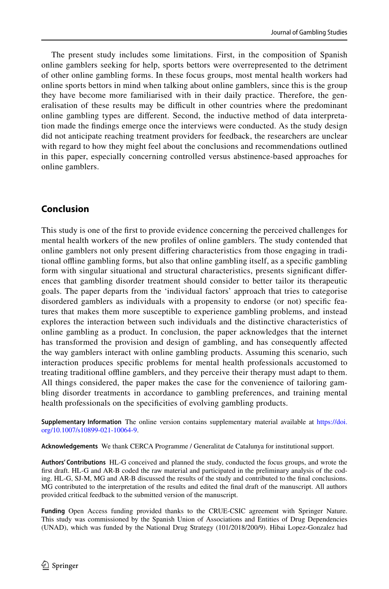The present study includes some limitations. First, in the composition of Spanish online gamblers seeking for help, sports bettors were overrepresented to the detriment of other online gambling forms. In these focus groups, most mental health workers had online sports bettors in mind when talking about online gamblers, since this is the group they have become more familiarised with in their daily practice. Therefore, the generalisation of these results may be difcult in other countries where the predominant online gambling types are diferent. Second, the inductive method of data interpretation made the fndings emerge once the interviews were conducted. As the study design did not anticipate reaching treatment providers for feedback, the researchers are unclear with regard to how they might feel about the conclusions and recommendations outlined in this paper, especially concerning controlled versus abstinence-based approaches for online gamblers.

# **Conclusion**

This study is one of the frst to provide evidence concerning the perceived challenges for mental health workers of the new profles of online gamblers. The study contended that online gamblers not only present difering characteristics from those engaging in traditional ofine gambling forms, but also that online gambling itself, as a specifc gambling form with singular situational and structural characteristics, presents signifcant diferences that gambling disorder treatment should consider to better tailor its therapeutic goals. The paper departs from the 'individual factors' approach that tries to categorise disordered gamblers as individuals with a propensity to endorse (or not) specifc features that makes them more susceptible to experience gambling problems, and instead explores the interaction between such individuals and the distinctive characteristics of online gambling as a product. In conclusion, the paper acknowledges that the internet has transformed the provision and design of gambling, and has consequently affected the way gamblers interact with online gambling products. Assuming this scenario, such interaction produces specifc problems for mental health professionals accustomed to treating traditional ofine gamblers, and they perceive their therapy must adapt to them. All things considered, the paper makes the case for the convenience of tailoring gambling disorder treatments in accordance to gambling preferences, and training mental health professionals on the specifcities of evolving gambling products.

**Supplementary Information** The online version contains supplementary material available at [https://doi.](https://doi.org/10.1007/s10899-021-10064-9) [org/10.1007/s10899-021-10064-9.](https://doi.org/10.1007/s10899-021-10064-9)

**Acknowledgements** We thank CERCA Programme / Generalitat de Catalunya for institutional support.

**Authors' Contributions** HL-G conceived and planned the study, conducted the focus groups, and wrote the frst draft. HL-G and AR-B coded the raw material and participated in the preliminary analysis of the coding. HL-G, SJ-M, MG and AR-B discussed the results of the study and contributed to the fnal conclusions. MG contributed to the interpretation of the results and edited the fnal draft of the manuscript. All authors provided critical feedback to the submitted version of the manuscript.

**Funding** Open Access funding provided thanks to the CRUE-CSIC agreement with Springer Nature. This study was commissioned by the Spanish Union of Associations and Entities of Drug Dependencies (UNAD), which was funded by the National Drug Strategy (101/2018/200/9). Hibai Lopez-Gonzalez had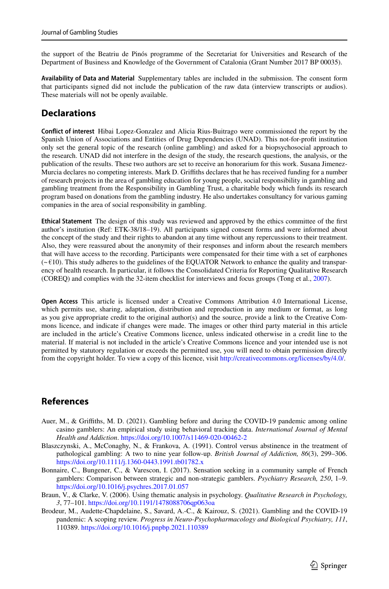the support of the Beatriu de Pinós programme of the Secretariat for Universities and Research of the Department of Business and Knowledge of the Government of Catalonia (Grant Number 2017 BP 00035).

**Availability of Data and Material** Supplementary tables are included in the submission. The consent form that participants signed did not include the publication of the raw data (interview transcripts or audios). These materials will not be openly available.

# **Declarations**

**Confict of interest** Hibai Lopez-Gonzalez and Alicia Rius-Buitrago were commissioned the report by the Spanish Union of Associations and Entities of Drug Dependencies (UNAD). This not-for-proft institution only set the general topic of the research (online gambling) and asked for a biopsychosocial approach to the research. UNAD did not interfere in the design of the study, the research questions, the analysis, or the publication of the results. These two authors are set to receive an honorarium for this work. Susana Jimenez-Murcia declares no competing interests. Mark D. Grifths declares that he has received funding for a number of research projects in the area of gambling education for young people, social responsibility in gambling and gambling treatment from the Responsibility in Gambling Trust, a charitable body which funds its research program based on donations from the gambling industry. He also undertakes consultancy for various gaming companies in the area of social responsibility in gambling.

**Ethical Statement** The design of this study was reviewed and approved by the ethics committee of the frst author's institution (Ref: ETK-38/18–19). All participants signed consent forms and were informed about the concept of the study and their rights to abandon at any time without any repercussions to their treatment. Also, they were reassured about the anonymity of their responses and inform about the research members that will have access to the recording. Participants were compensated for their time with a set of earphones  $(-\epsilon)$  This study adheres to the guidelines of the EQUATOR Network to enhance the quality and transparency of health research. In particular, it follows the Consolidated Criteria for Reporting Qualitative Research (COREQ) and complies with the 32-item checklist for interviews and focus groups (Tong et al., [2007](#page-15-10)).

**Open Access** This article is licensed under a Creative Commons Attribution 4.0 International License, which permits use, sharing, adaptation, distribution and reproduction in any medium or format, as long as you give appropriate credit to the original author(s) and the source, provide a link to the Creative Commons licence, and indicate if changes were made. The images or other third party material in this article are included in the article's Creative Commons licence, unless indicated otherwise in a credit line to the material. If material is not included in the article's Creative Commons licence and your intended use is not permitted by statutory regulation or exceeds the permitted use, you will need to obtain permission directly from the copyright holder. To view a copy of this licence, visit [http://creativecommons.org/licenses/by/4.0/.](http://creativecommons.org/licenses/by/4.0/)

# **References**

- <span id="page-12-1"></span>Auer, M., & Grifths, M. D. (2021). Gambling before and during the COVID-19 pandemic among online casino gamblers: An empirical study using behavioral tracking data. *International Journal of Mental Health and Addiction*. <https://doi.org/10.1007/s11469-020-00462-2>
- <span id="page-12-4"></span>Blaszczynski, A., McConaghy, N., & Frankova, A. (1991). Control versus abstinence in the treatment of pathological gambling: A two to nine year follow-up. *British Journal of Addiction, 86*(3), 299–306. <https://doi.org/10.1111/j.1360-0443.1991.tb01782.x>
- <span id="page-12-2"></span>Bonnaire, C., Bungener, C., & Varescon, I. (2017). Sensation seeking in a community sample of French gamblers: Comparison between strategic and non-strategic gamblers. *Psychiatry Research, 250*, 1–9. <https://doi.org/10.1016/j.psychres.2017.01.057>
- <span id="page-12-3"></span>Braun, V., & Clarke, V. (2006). Using thematic analysis in psychology. *Qualitative Research in Psychology, 3*, 77–101. <https://doi.org/10.1191/1478088706qp063oa>
- <span id="page-12-0"></span>Brodeur, M., Audette-Chapdelaine, S., Savard, A.-C., & Kairouz, S. (2021). Gambling and the COVID-19 pandemic: A scoping review. *Progress in Neuro-Psychopharmacology and Biological Psychiatry, 111*, 110389. <https://doi.org/10.1016/j.pnpbp.2021.110389>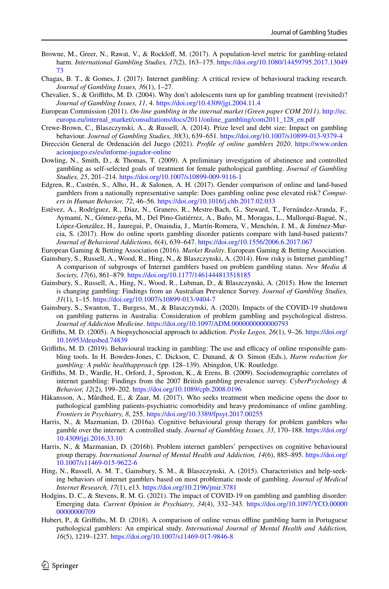- <span id="page-13-15"></span>Browne, M., Greer, N., Rawat, V., & Rocklof, M. (2017). A population-level metric for gambling-related harm. *International Gambling Studies, 17*(2), 163–175. [https://doi.org/10.1080/14459795.2017.13049](https://doi.org/10.1080/14459795.2017.1304973) [73](https://doi.org/10.1080/14459795.2017.1304973)
- <span id="page-13-20"></span>Chagas, B. T., & Gomes, J. (2017). Internet gambling: A critical review of behavioural tracking research. *Journal of Gambling Issues, 36*(1), 1–27.
- <span id="page-13-18"></span>Chevalier, S., & Grifths, M. D. (2004). Why don't adolescents turn up for gambling treatment (revisited)? *Journal of Gambling Issues, 11*, 4. <https://doi.org/10.4309/jgi.2004.11.4>
- <span id="page-13-7"></span>European Commission (2011). *On-line gambling in the internal market (Green paper COM 2011)*. [http://ec.](http://ec.europa.eu/internal_market/consultations/docs/2011/online_gambling/com2011_128_en.pdf) [europa.eu/internal\\_market/consultations/docs/2011/online\\_gambling/com2011\\_128\\_en.pdf](http://ec.europa.eu/internal_market/consultations/docs/2011/online_gambling/com2011_128_en.pdf)
- <span id="page-13-17"></span>Crewe-Brown, C., Blaszczynski, A., & Russell, A. (2014). Prize level and debt size: Impact on gambling behaviour. *Journal of Gambling Studies, 30*(3), 639–651. <https://doi.org/10.1007/s10899-013-9379-4>
- <span id="page-13-5"></span>Dirección General de Ordenación del Juego (2021). *Profle of online gamblers 2020*. [https://www.orden](https://www.ordenacionjuego.es/es/informe-jugador-online) [acionjuego.es/es/informe-jugador-online](https://www.ordenacionjuego.es/es/informe-jugador-online)
- <span id="page-13-19"></span>Dowling, N., Smith, D., & Thomas, T. (2009). A preliminary investigation of abstinence and controlled gambling as self-selected goals of treatment for female pathological gambling. *Journal of Gambling Studies, 25*, 201–214. <https://doi.org/10.1007/s10899-009-9116-1>
- <span id="page-13-13"></span>Edgren, R., Castrén, S., Alho, H., & Salonen, A. H. (2017). Gender comparison of online and land-based gamblers from a nationally representative sample: Does gambling online pose elevated risk? *Computers in Human Behavior, 72*, 46–56.<https://doi.org/10.1016/j.chb.2017.02.033>
- <span id="page-13-6"></span>Estévez, A., Rodríguez, R., Díaz, N., Granero, R., Mestre-Bach, G., Steward, T., Fernández-Aranda, F., Aymamí, N., Gómez-peña, M., Del Pino-Gutiérrez, A., Baño, M., Moragas, L., Mallorquí-Bagué, N., López-González, H., Jauregui, P., Onaindia, J., Martín-Romera, V., Menchón, J. M., & Jiménez-Murcia, S. (2017). How do online sports gambling disorder patients compare with land-based patients? *Journal of Behavioral Addictions, 6*(4), 639–647. <https://doi.org/10.1556/2006.6.2017.067>

<span id="page-13-8"></span>European Gaming & Betting Association (2016). *Market Reality*. European Gaming & Betting Association.

- <span id="page-13-16"></span>Gainsbury, S., Russell, A., Wood, R., Hing, N., & Blaszczynski, A. (2014). How risky is Internet gambling? A comparison of subgroups of Internet gamblers based on problem gambling status. *New Media & Society, 17*(6), 861–879. <https://doi.org/10.1177/1461444813518185>
- <span id="page-13-0"></span>Gainsbury, S., Russell, A., Hing, N., Wood, R., Lubman, D., & Blaszczynski, A. (2015). How the Internet is changing gambling: Findings from an Australian Prevalence Survey. *Journal of Gambling Studies, 31*(1), 1–15.<https://doi.org/10.1007/s10899-013-9404-7>
- <span id="page-13-3"></span>Gainsbury, S., Swanton, T., Burgess, M., & Blaszczynski, A. (2020). Impacts of the COVID-19 shutdown on gambling patterns in Australia: Consideration of problem gambling and psychological distress. *Journal of Addiction Medicine*. <https://doi.org/10.1097/ADM.0000000000000793>
- <span id="page-13-9"></span>Grifths, M. D. (2005). A biopsychosocial approach to addiction. *Psyke Logos, 26*(1), 9–26. [https://doi.org/](https://doi.org/10.16953/deusbed.74839) [10.16953/deusbed.74839](https://doi.org/10.16953/deusbed.74839)
- <span id="page-13-21"></span>Griffiths, M. D. (2019). Behavioural tracking in gambling: The use and efficacy of online responsible gambling tools. In H. Bowden-Jones, C. Dickson, C. Dunand, & O. Simon (Eds.), *Harm reduction for gambling: A public healthapproach* (pp. 128–139). Abingdon, UK: Routledge.
- <span id="page-13-14"></span>Grifths, M. D., Wardle, H., Orford, J., Sproston, K., & Erens, B. (2009). Sociodemographic correlates of internet gambling: Findings from the 2007 British gambling prevalence survey. *CyberPsychology & Behavior, 12*(2), 199–202. <https://doi.org/10.1089/cpb.2008.0196>
- <span id="page-13-2"></span>Håkansson, A., Mårdhed, E., & Zaar, M. (2017). Who seeks treatment when medicine opens the door to pathological gambling patients-psychiatric comorbidity and heavy predominance of online gambling. *Frontiers in Psychiatry, 8*, 255. <https://doi.org/10.3389/fpsyt.2017.00255>
- <span id="page-13-11"></span>Harris, N., & Mazmanian, D. (2016a). Cognitive behavioural group therapy for problem gamblers who gamble over the internet: A controlled study. *Journal of Gambling Issues, 33*, 170–188. [https://doi.org/](https://doi.org/10.4309/jgi.2016.33.10) [10.4309/jgi.2016.33.10](https://doi.org/10.4309/jgi.2016.33.10)
- <span id="page-13-12"></span>Harris, N., & Mazmanian, D. (2016b). Problem internet gamblers' perspectives on cognitive behavioural group therapy. *International Journal of Mental Health and Addiction, 14*(6), 885–895. [https://doi.org/](https://doi.org/10.1007/s11469-015-9622-6) [10.1007/s11469-015-9622-6](https://doi.org/10.1007/s11469-015-9622-6)
- <span id="page-13-1"></span>Hing, N., Russell, A. M. T., Gainsbury, S. M., & Blaszczynski, A. (2015). Characteristics and help-seeking behaviors of internet gamblers based on most problematic mode of gambling. *Journal of Medical Internet Research, 17*(1), e13.<https://doi.org/10.2196/jmir.3781>
- <span id="page-13-4"></span>Hodgins, D. C., & Stevens, R. M. G. (2021). The impact of COVID-19 on gambling and gambling disorder: Emerging data. *Current Opinion in Psychiatry, 34*(4), 332–343. [https://doi.org/10.1097/YCO.00000](https://doi.org/10.1097/YCO.0000000000000709) [00000000709](https://doi.org/10.1097/YCO.0000000000000709)
- <span id="page-13-10"></span>Hubert, P., & Grifths, M. D. (2018). A comparison of online versus ofine gambling harm in Portuguese pathological gamblers: An empirical study. *International Journal of Mental Health and Addiction, 16*(5), 1219–1237.<https://doi.org/10.1007/s11469-017-9846-8>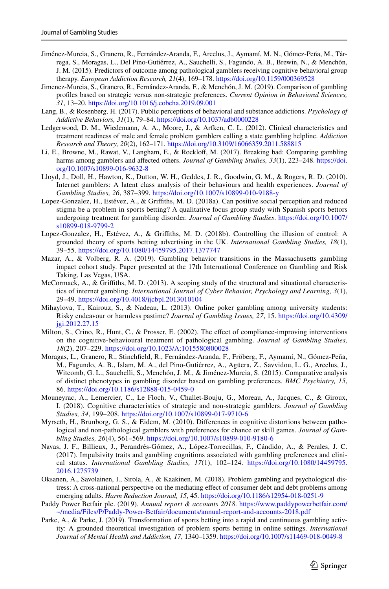- <span id="page-14-7"></span>Jiménez-Murcia, S., Granero, R., Fernández-Aranda, F., Arcelus, J., Aymamí, M. N., Gómez-Peña, M., Tárrega, S., Moragas, L., Del Pino-Gutiérrez, A., Sauchelli, S., Fagundo, A. B., Brewin, N., & Menchón, J. M. (2015). Predictors of outcome among pathological gamblers receiving cognitive behavioral group therapy. *European Addiction Research, 21*(4), 169–178.<https://doi.org/10.1159/000369528>
- <span id="page-14-5"></span>Jimenez-Murcia, S., Granero, R., Fernández-Aranda, F., & Menchón, J. M. (2019). Comparison of gambling profles based on strategic versus non-strategic preferences. *Current Opinion in Behavioral Sciences, 31*, 13–20. <https://doi.org/10.1016/j.cobeha.2019.09.001>
- <span id="page-14-16"></span>Lang, B., & Rosenberg, H. (2017). Public perceptions of behavioral and substance addictions. *Psychology of Addictive Behaviors, 31*(1), 79–84.<https://doi.org/10.1037/adb0000228>
- <span id="page-14-1"></span>Ledgerwood, D. M., Wiedemann, A. A., Moore, J., & Arfken, C. L. (2012). Clinical characteristics and treatment readiness of male and female problem gamblers calling a state gambling helpline. *Addiction Research and Theory, 20*(2), 162–171.<https://doi.org/10.3109/16066359.2011.588815>
- <span id="page-14-12"></span>Li, E., Browne, M., Rawat, V., Langham, E., & Rocklof, M. (2017). Breaking bad: Comparing gambling harms among gamblers and afected others. *Journal of Gambling Studies, 33*(1), 223–248. [https://doi.](https://doi.org/10.1007/s10899-016-9632-8) [org/10.1007/s10899-016-9632-8](https://doi.org/10.1007/s10899-016-9632-8)
- <span id="page-14-11"></span>Lloyd, J., Doll, H., Hawton, K., Dutton, W. H., Geddes, J. R., Goodwin, G. M., & Rogers, R. D. (2010). Internet gamblers: A latent class analysis of their behaviours and health experiences. *Journal of Gambling Studies, 26*, 387–399.<https://doi.org/10.1007/s10899-010-9188-y>
- <span id="page-14-17"></span>Lopez-Gonzalez, H., Estévez, A., & Grifths, M. D. (2018a). Can positive social perception and reduced stigma be a problem in sports betting? A qualitative focus group study with Spanish sports bettors undergoing treatment for gambling disorder. *Journal of Gambling Studies*. [https://doi.org/10.1007/](https://doi.org/10.1007/s10899-018-9799-2) [s10899-018-9799-2](https://doi.org/10.1007/s10899-018-9799-2)
- <span id="page-14-18"></span>Lopez-Gonzalez, H., Estévez, A., & Grifths, M. D. (2018b). Controlling the illusion of control: A grounded theory of sports betting advertising in the UK. *International Gambling Studies, 18*(1), 39–55. <https://doi.org/10.1080/14459795.2017.1377747>
- <span id="page-14-15"></span>Mazar, A., & Volberg, R. A. (2019). Gambling behavior transitions in the Massachusetts gambling impact cohort study. Paper presented at the 17th International Conference on Gambling and Risk Taking, Las Vegas, USA.
- <span id="page-14-8"></span>McCormack, A., & Grifths, M. D. (2013). A scoping study of the structural and situational characteristics of internet gambling. *International Journal of Cyber Behavior, Psychology and Learning, 3*(1), 29–49. <https://doi.org/10.4018/ijcbpl.2013010104>
- <span id="page-14-13"></span>Mihaylova, T., Kairouz, S., & Nadeau, L. (2013). Online poker gambling among university students: Risky endeavour or harmless pastime? *Journal of Gambling Issues, 27*, 15. [https://doi.org/10.4309/](https://doi.org/10.4309/jgi.2012.27.15) [jgi.2012.27.15](https://doi.org/10.4309/jgi.2012.27.15)
- <span id="page-14-10"></span>Milton, S., Crino, R., Hunt, C., & Prosser, E. (2002). The efect of compliance-improving interventions on the cognitive-behavioural treatment of pathological gambling. *Journal of Gambling Studies, 18*(2), 207–229. <https://doi.org/10.1023/A:1015580800028>
- <span id="page-14-0"></span>Moragas, L., Granero, R., Stinchfeld, R., Fernández-Aranda, F., Fröberg, F., Aymamí, N., Gómez-Peña, M., Fagundo, A. B., Islam, M. A., del Pino-Gutiérrez, A., Agüera, Z., Savvidou, L. G., Arcelus, J., Witcomb, G. L., Sauchelli, S., Menchón, J. M., & Jiménez-Murcia, S. (2015). Comparative analysis of distinct phenotypes in gambling disorder based on gambling preferences. *BMC Psychiatry, 15*, 86.<https://doi.org/10.1186/s12888-015-0459-0>
- <span id="page-14-4"></span>Mouneyrac, A., Lemercier, C., Le Floch, V., Challet-Bouju, G., Moreau, A., Jacques, C., & Giroux, I. (2018). Cognitive characteristics of strategic and non-strategic gamblers. *Journal of Gambling Studies, 34*, 199–208.<https://doi.org/10.1007/s10899-017-9710-6>
- <span id="page-14-3"></span>Myrseth, H., Brunborg, G. S., & Eidem, M. (2010). Diferences in cognitive distortions between pathological and non-pathological gamblers with preferences for chance or skill games. *Journal of Gambling Studies, 26*(4), 561–569.<https://doi.org/10.1007/s10899-010-9180-6>
- <span id="page-14-6"></span>Navas, J. F., Billieux, J., Perandrés-Gómez, A., López-Torrecillas, F., Cándido, A., & Perales, J. C. (2017). Impulsivity traits and gambling cognitions associated with gambling preferences and clinical status. *International Gambling Studies, 17*(1), 102–124. [https://doi.org/10.1080/14459795.](https://doi.org/10.1080/14459795.2016.1275739) [2016.1275739](https://doi.org/10.1080/14459795.2016.1275739)
- <span id="page-14-14"></span>Oksanen, A., Savolainen, I., Sirola, A., & Kaakinen, M. (2018). Problem gambling and psychological distress: A cross-national perspective on the mediating efect of consumer debt and debt problems among emerging adults. *Harm Reduction Journal, 15*, 45.<https://doi.org/10.1186/s12954-018-0251-9>
- <span id="page-14-2"></span>Paddy Power Betfair plc. (2019). *Annual report & accounts 2018*. [https://www.paddypowerbetfair.com/](https://www.paddypowerbetfair.com/~/media/Files/P/Paddy-Power-Betfair/documents/annual-report-and-accounts-2018.pdf) [~/media/Files/P/Paddy-Power-Betfair/documents/annual-report-and-accounts-2018.pdf](https://www.paddypowerbetfair.com/~/media/Files/P/Paddy-Power-Betfair/documents/annual-report-and-accounts-2018.pdf)
- <span id="page-14-9"></span>Parke, A., & Parke, J. (2019). Transformation of sports betting into a rapid and continuous gambling activity: A grounded theoretical investigation of problem sports betting in online settings. *International Journal of Mental Health and Addiction, 17*, 1340–1359. <https://doi.org/10.1007/s11469-018-0049-8>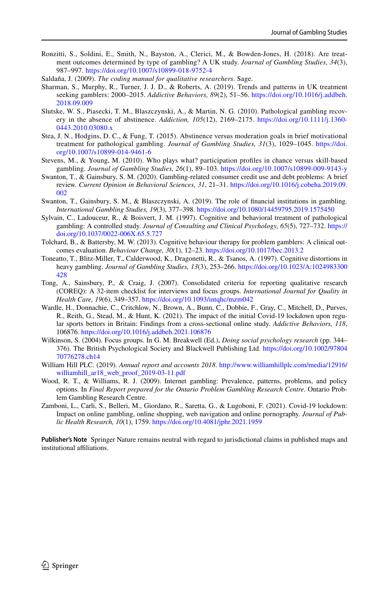- <span id="page-15-9"></span>Ronzitti, S., Soldini, E., Smith, N., Bayston, A., Clerici, M., & Bowden-Jones, H. (2018). Are treatment outcomes determined by type of gambling? A UK study. *Journal of Gambling Studies, 34*(3), 987–997. <https://doi.org/10.1007/s10899-018-9752-4>
- <span id="page-15-12"></span>Saldaña, J. (2009). *The coding manual for qualitative researchers*. Sage.
- <span id="page-15-1"></span>Sharman, S., Murphy, R., Turner, J. J. D., & Roberts, A. (2019). Trends and patterns in UK treatment seeking gamblers: 2000–2015. *Addictive Behaviors, 89*(2), 51–56. [https://doi.org/10.1016/j.addbeh.](https://doi.org/10.1016/j.addbeh.2018.09.009) [2018.09.009](https://doi.org/10.1016/j.addbeh.2018.09.009)
- <span id="page-15-15"></span>Slutske, W. S., Piasecki, T. M., Blaszczynski, A., & Martin, N. G. (2010). Pathological gambling recovery in the absence of abstinence. *Addiction, 105*(12), 2169–2175. [https://doi.org/10.1111/j.1360-](https://doi.org/10.1111/j.1360-0443.2010.03080.x) [0443.2010.03080.x](https://doi.org/10.1111/j.1360-0443.2010.03080.x)
- <span id="page-15-16"></span>Stea, J. N., Hodgins, D. C., & Fung, T. (2015). Abstinence versus moderation goals in brief motivational treatment for pathological gambling. *Journal of Gambling Studies, 31*(3), 1029–1045. [https://doi.](https://doi.org/10.1007/s10899-014-9461-6) [org/10.1007/s10899-014-9461-6](https://doi.org/10.1007/s10899-014-9461-6)
- <span id="page-15-6"></span>Stevens, M., & Young, M. (2010). Who plays what? participation profles in chance versus skill-based gambling. *Journal of Gambling Studies, 26*(1), 89–103. <https://doi.org/10.1007/s10899-009-9143-y>
- <span id="page-15-13"></span>Swanton, T., & Gainsbury, S. M. (2020). Gambling-related consumer credit use and debt problems: A brief review. *Current Opinion in Behavioral Sciences, 31*, 21–31. [https://doi.org/10.1016/j.cobeha.2019.09.](https://doi.org/10.1016/j.cobeha.2019.09.002) [002](https://doi.org/10.1016/j.cobeha.2019.09.002)
- <span id="page-15-14"></span>Swanton, T., Gainsbury, S. M., & Blaszczynski, A. (2019). The role of fnancial institutions in gambling. *International Gambling Studies, 19*(3), 377–398. <https://doi.org/10.1080/14459795.2019.1575450>
- <span id="page-15-8"></span>Sylvain, C., Ladouceur, R., & Boisvert, J. M. (1997). Cognitive and behavioral treatment of pathological gambling: A controlled study. *Journal of Consulting and Clinical Psychology, 65*(5), 727–732. [https://](https://doi.org/10.1037/0022-006X.65.5.727) [doi.org/10.1037/0022-006X.65.5.727](https://doi.org/10.1037/0022-006X.65.5.727)
- <span id="page-15-7"></span>Tolchard, B., & Battersby, M. W. (2013). Cognitive behaviour therapy for problem gamblers: A clinical outcomes evaluation. *Behaviour Change, 30*(1), 12–23. <https://doi.org/10.1017/bec.2013.2>
- <span id="page-15-5"></span>Toneatto, T., Blitz-Miller, T., Calderwood, K., Dragonetti, R., & Tsanos, A. (1997). Cognitive distortions in heavy gambling. *Journal of Gambling Studies, 13*(3), 253–266. [https://doi.org/10.1023/A:1024983300](https://doi.org/10.1023/A:1024983300428) [428](https://doi.org/10.1023/A:1024983300428)
- <span id="page-15-10"></span>Tong, A., Sainsbury, P., & Craig, J. (2007). Consolidated criteria for reporting qualitative research (COREQ): A 32-item checklist for interviews and focus groups. *International Journal for Quality in Health Care, 19*(6), 349–357. <https://doi.org/10.1093/intqhc/mzm042>
- <span id="page-15-2"></span>Wardle, H., Donnachie, C., Critchlow, N., Brown, A., Bunn, C., Dobbie, F., Gray, C., Mitchell, D., Purves, R., Reith, G., Stead, M., & Hunt, K. (2021). The impact of the initial Covid-19 lockdown upon regular sports bettors in Britain: Findings from a cross-sectional online study. *Addictive Behaviors, 118*, 106876. <https://doi.org/10.1016/j.addbeh.2021.106876>
- <span id="page-15-11"></span>Wilkinson, S. (2004). Focus groups. In G. M. Breakwell (Ed.), *Doing social psychology research* (pp. 344– 376). The British Psychological Society and Blackwell Publishing Ltd. [https://doi.org/10.1002/97804](https://doi.org/10.1002/9780470776278.ch14) [70776278.ch14](https://doi.org/10.1002/9780470776278.ch14)
- <span id="page-15-4"></span>William Hill PLC. (2019). *Annual report and accounts 2018*. [http://www.williamhillplc.com/media/12916/](http://www.williamhillplc.com/media/12916/williamhill_ar18_web_proof_2019-03-11.pdf) [williamhill\\_ar18\\_web\\_proof\\_2019-03-11.pdf](http://www.williamhillplc.com/media/12916/williamhill_ar18_web_proof_2019-03-11.pdf)
- <span id="page-15-0"></span>Wood, R. T., & Williams, R. J. (2009). Internet gambling: Prevalence, patterns, problems, and policy options. In *Final Report prepared for the Ontario Problem Gambling Research Centre*. Ontario Problem Gambling Research Centre.
- <span id="page-15-3"></span>Zamboni, L., Carli, S., Belleri, M., Giordano, R., Saretta, G., & Lugoboni, F. (2021). Covid-19 lockdown: Impact on online gambling, online shopping, web navigation and online pornography. *Journal of Public Health Research, 10*(1), 1759.<https://doi.org/10.4081/jphr.2021.1959>

**Publisher's Note** Springer Nature remains neutral with regard to jurisdictional claims in published maps and institutional affiliations.